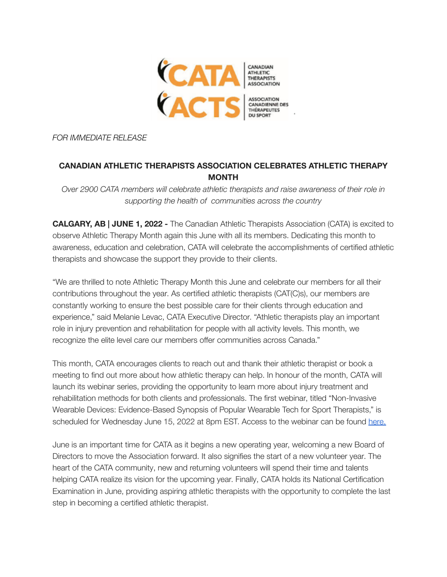

*FOR IMMEDIATE RELEASE*

## **CANADIAN ATHLETIC THERAPISTS ASSOCIATION CELEBRATES ATHLETIC THERAPY MONTH**

*Over 2900 CATA members will celebrate athletic therapists and raise awareness of their role in supporting the health of communities across the country*

**CALGARY, AB | JUNE 1, 2022 -** The Canadian Athletic Therapists Association (CATA) is excited to observe Athletic Therapy Month again this June with all its members. Dedicating this month to awareness, education and celebration, CATA will celebrate the accomplishments of certified athletic therapists and showcase the support they provide to their clients.

"We are thrilled to note Athletic Therapy Month this June and celebrate our members for all their contributions throughout the year. As certified athletic therapists (CAT(C)s), our members are constantly working to ensure the best possible care for their clients through education and experience," said Melanie Levac, CATA Executive Director. "Athletic therapists play an important role in injury prevention and rehabilitation for people with all activity levels. This month, we recognize the elite level care our members offer communities across Canada."

This month, CATA encourages clients to reach out and thank their athletic therapist or book a meeting to find out more about how athletic therapy can help. In honour of the month, CATA will launch its webinar series, providing the opportunity to learn more about injury treatment and rehabilitation methods for both clients and professionals. The first webinar, titled "Non-Invasive Wearable Devices: Evidence-Based Synopsis of Popular Wearable Tech for Sport Therapists," is scheduled for Wednesday June 15, 2022 at 8pm EST. Access to the webinar can be found [here.](https://us06web.zoom.us/j/85724975548?pwd=eGx3bXpoM2JoUWJISDYxTjgwVGIwQT09)

June is an important time for CATA as it begins a new operating year, welcoming a new Board of Directors to move the Association forward. It also signifies the start of a new volunteer year. The heart of the CATA community, new and returning volunteers will spend their time and talents helping CATA realize its vision for the upcoming year. Finally, CATA holds its National Certification Examination in June, providing aspiring athletic therapists with the opportunity to complete the last step in becoming a certified athletic therapist.